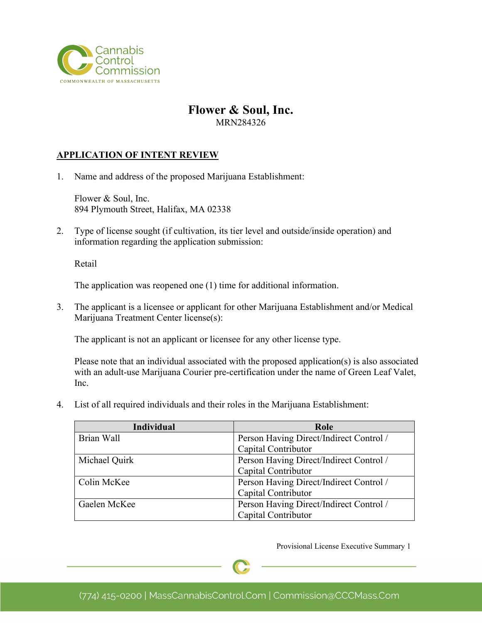

## **Flower & Soul, Inc.** MRN284326

#### **APPLICATION OF INTENT REVIEW**

1. Name and address of the proposed Marijuana Establishment:

Flower & Soul, Inc. 894 Plymouth Street, Halifax, MA 02338

2. Type of license sought (if cultivation, its tier level and outside/inside operation) and information regarding the application submission:

Retail

The application was reopened one (1) time for additional information.

3. The applicant is a licensee or applicant for other Marijuana Establishment and/or Medical Marijuana Treatment Center license(s):

The applicant is not an applicant or licensee for any other license type.

Please note that an individual associated with the proposed application(s) is also associated with an adult-use Marijuana Courier pre-certification under the name of Green Leaf Valet, Inc.

4. List of all required individuals and their roles in the Marijuana Establishment:

| <b>Individual</b> | Role                                    |
|-------------------|-----------------------------------------|
| Brian Wall        | Person Having Direct/Indirect Control / |
|                   | Capital Contributor                     |
| Michael Quirk     | Person Having Direct/Indirect Control / |
|                   | Capital Contributor                     |
| Colin McKee       | Person Having Direct/Indirect Control / |
|                   | Capital Contributor                     |
| Gaelen McKee      | Person Having Direct/Indirect Control / |
|                   | Capital Contributor                     |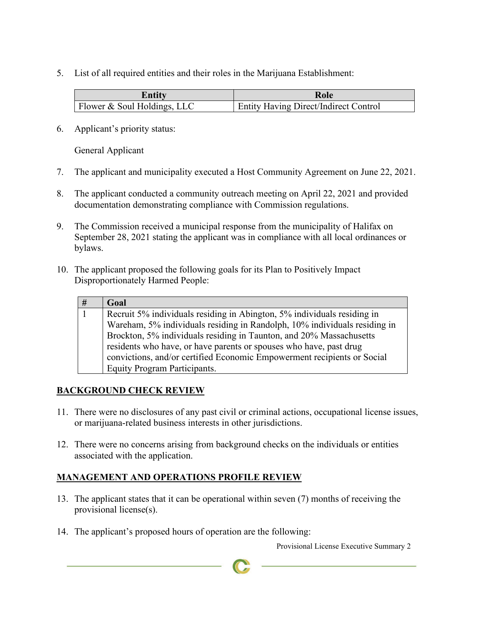5. List of all required entities and their roles in the Marijuana Establishment:

| Entitv                      | Role                                         |
|-----------------------------|----------------------------------------------|
| Flower & Soul Holdings, LLC | <b>Entity Having Direct/Indirect Control</b> |

6. Applicant's priority status:

General Applicant

- 7. The applicant and municipality executed a Host Community Agreement on June 22, 2021.
- 8. The applicant conducted a community outreach meeting on April 22, 2021 and provided documentation demonstrating compliance with Commission regulations.
- 9. The Commission received a municipal response from the municipality of Halifax on September 28, 2021 stating the applicant was in compliance with all local ordinances or bylaws.
- 10. The applicant proposed the following goals for its Plan to Positively Impact Disproportionately Harmed People:

| # | Goal                                                                      |
|---|---------------------------------------------------------------------------|
|   | Recruit 5% individuals residing in Abington, 5% individuals residing in   |
|   | Wareham, 5% individuals residing in Randolph, 10% individuals residing in |
|   | Brockton, 5% individuals residing in Taunton, and 20% Massachusetts       |
|   | residents who have, or have parents or spouses who have, past drug        |
|   | convictions, and/or certified Economic Empowerment recipients or Social   |
|   | <b>Equity Program Participants.</b>                                       |

## **BACKGROUND CHECK REVIEW**

- 11. There were no disclosures of any past civil or criminal actions, occupational license issues, or marijuana-related business interests in other jurisdictions.
- 12. There were no concerns arising from background checks on the individuals or entities associated with the application.

## **MANAGEMENT AND OPERATIONS PROFILE REVIEW**

- 13. The applicant states that it can be operational within seven (7) months of receiving the provisional license(s).
- 14. The applicant's proposed hours of operation are the following: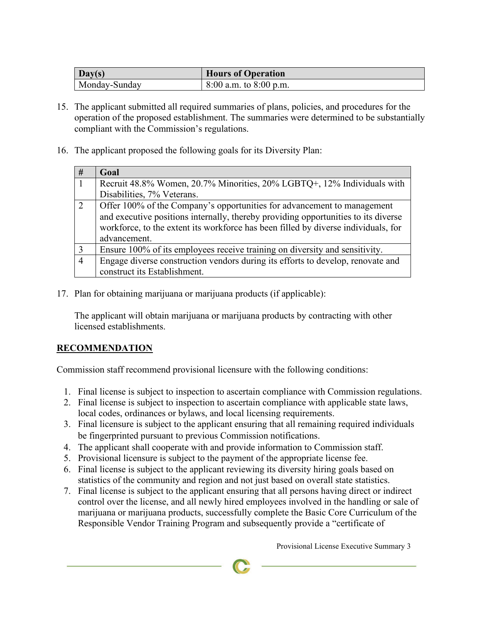| Day(s)        | <b>Hours of Operation</b>  |
|---------------|----------------------------|
| Monday-Sunday | $8:00$ a.m. to $8:00$ p.m. |

- 15. The applicant submitted all required summaries of plans, policies, and procedures for the operation of the proposed establishment. The summaries were determined to be substantially compliant with the Commission's regulations.
- 16. The applicant proposed the following goals for its Diversity Plan:

| #              | Goal                                                                               |
|----------------|------------------------------------------------------------------------------------|
| $\vert$ 1      | Recruit 48.8% Women, 20.7% Minorities, 20% LGBTQ+, 12% Individuals with            |
|                | Disabilities, 7% Veterans.                                                         |
| 2              | Offer 100% of the Company's opportunities for advancement to management            |
|                | and executive positions internally, thereby providing opportunities to its diverse |
|                | workforce, to the extent its workforce has been filled by diverse individuals, for |
|                | advancement.                                                                       |
| $\overline{3}$ | Ensure 100% of its employees receive training on diversity and sensitivity.        |
| $\overline{4}$ | Engage diverse construction vendors during its efforts to develop, renovate and    |
|                | construct its Establishment.                                                       |

17. Plan for obtaining marijuana or marijuana products (if applicable):

The applicant will obtain marijuana or marijuana products by contracting with other licensed establishments.

# **RECOMMENDATION**

Commission staff recommend provisional licensure with the following conditions:

- 1. Final license is subject to inspection to ascertain compliance with Commission regulations.
- 2. Final license is subject to inspection to ascertain compliance with applicable state laws, local codes, ordinances or bylaws, and local licensing requirements.
- 3. Final licensure is subject to the applicant ensuring that all remaining required individuals be fingerprinted pursuant to previous Commission notifications.
- 4. The applicant shall cooperate with and provide information to Commission staff.
- 5. Provisional licensure is subject to the payment of the appropriate license fee.
- 6. Final license is subject to the applicant reviewing its diversity hiring goals based on statistics of the community and region and not just based on overall state statistics.
- 7. Final license is subject to the applicant ensuring that all persons having direct or indirect control over the license, and all newly hired employees involved in the handling or sale of marijuana or marijuana products, successfully complete the Basic Core Curriculum of the Responsible Vendor Training Program and subsequently provide a "certificate of